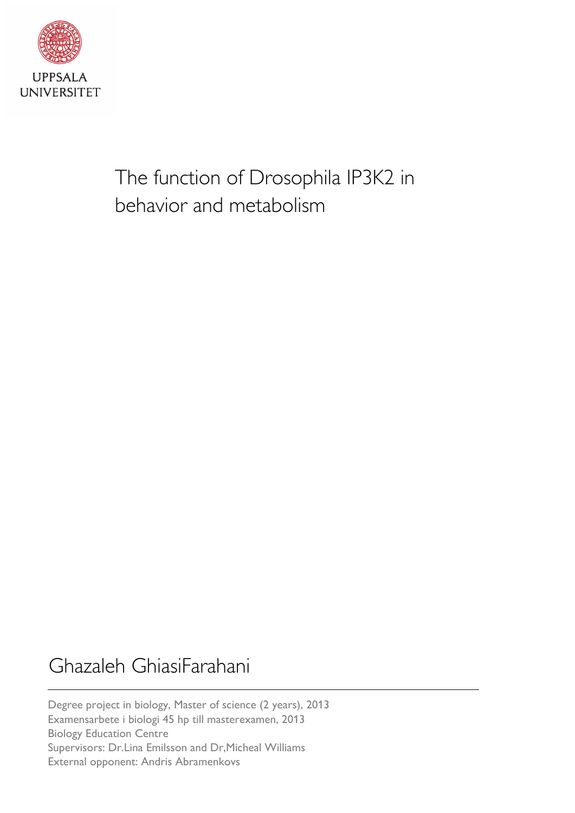

The function of Drosophila IP3K2 in behavior and metabolism

# Ghazaleh GhiasiFarahani

Degree project in biology, Master of science (2 years), 2013 Examensarbete i biologi 45 hp till masterexamen, 2013 Biology Education Centre Supervisors: Dr.Lina Emilsson and Dr,Micheal Williams External opponent: Andris Abramenkovs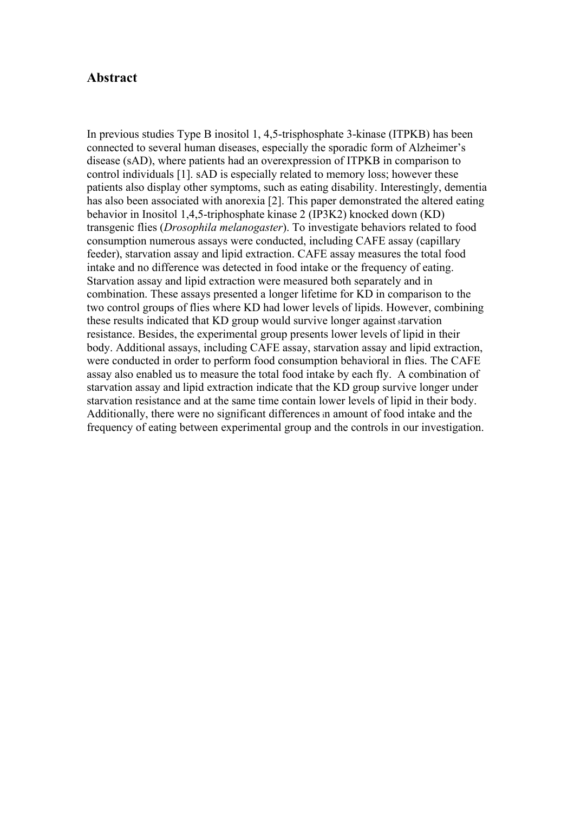### **Abstract**

In previous studies Type B inositol 1, 4,5-trisphosphate 3-kinase (ITPKB) has been connected to several human diseases, especially the sporadic form of Alzheimer's disease (sAD), where patients had an overexpression of ITPKB in comparison to control individuals [1]. sAD is especially related to memory loss; however these patients also display other symptoms, such as eating disability. Interestingly, dementia has also been associated with anorexia [2]. This paper demonstrated the altered eating behavior in Inositol 1,4,5-triphosphate kinase 2 (IP3K2) knocked down (KD) transgenic flies (*Drosophila melanogaster*). To investigate behaviors related to food consumption numerous assays were conducted, including CAFE assay (capillary feeder), starvation assay and lipid extraction. CAFE assay measures the total food intake and no difference was detected in food intake or the frequency of eating. Starvation assay and lipid extraction were measured both separately and in combination. These assays presented a longer lifetime for KD in comparison to the two control groups of flies where KD had lower levels of lipids. However, combining these results indicated that KD group would survive longer against <sup>s</sup>tarvation resistance. Besides, the experimental group presents lower levels of lipid in their body. Additional assays, including CAFE assay, starvation assay and lipid extraction, were conducted in order to perform food consumption behavioral in flies. The CAFE assay also enabled us to measure the total food intake by each fly. A combination of starvation assay and lipid extraction indicate that the KD group survive longer under starvation resistance and at the same time contain lower levels of lipid in their body. Additionally, there were no significant differencesin amount of food intake and the frequency of eating between experimental group and the controls in our investigation.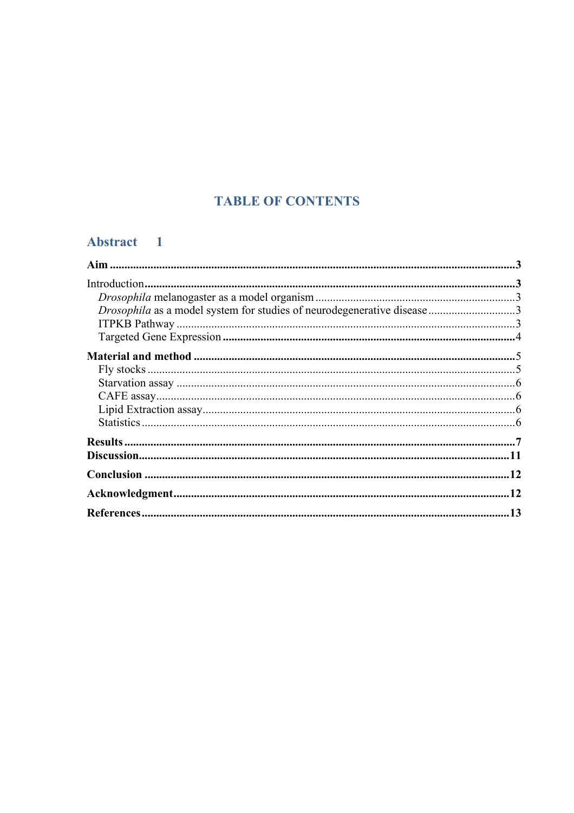# **TABLE OF CONTENTS**

# Abstract 1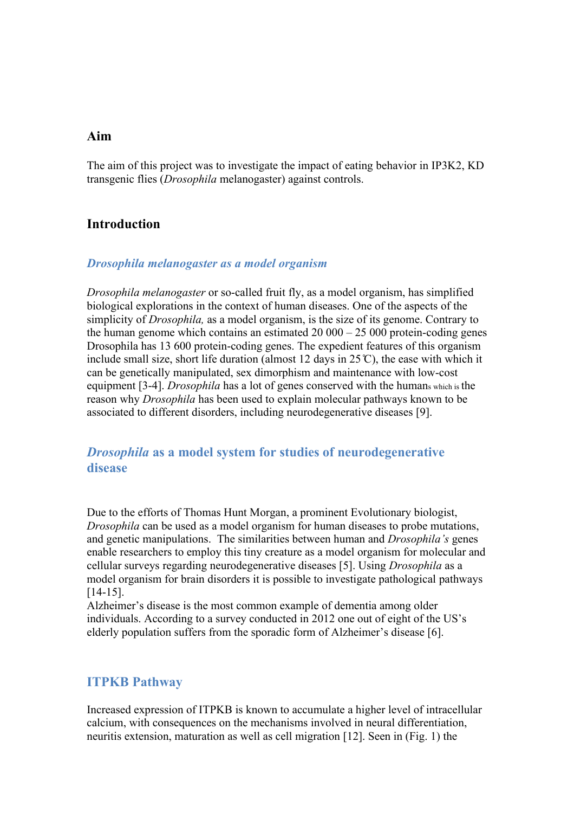# **Aim**

The aim of this project was to investigate the impact of eating behavior in IP3K2, KD transgenic flies (*Drosophila* melanogaster) against controls.

## **Introduction**

### *Drosophila melanogaster as a model organism*

*Drosophila melanogaster* or so-called fruit fly, as a model organism, has simplified biological explorations in the context of human diseases. One of the aspects of the simplicity of *Drosophila,* as a model organism, is the size of its genome. Contrary to the human genome which contains an estimated  $20\,000 - 25\,000$  protein-coding genes Drosophila has 13 600 protein-coding genes. The expedient features of this organism include small size, short life duration (almost 12 days in  $25^{\circ}$ C), the ease with which it can be genetically manipulated, sex dimorphism and maintenance with low-cost equipment [3-4]. *Drosophila* has a lot of genes conserved with the humans which is the reason why *Drosophila* has been used to explain molecular pathways known to be associated to different disorders, including neurodegenerative diseases [9].

# *Drosophila* **as a model system for studies of neurodegenerative disease**

Due to the efforts of Thomas Hunt Morgan, a prominent Evolutionary biologist, *Drosophila* can be used as a model organism for human diseases to probe mutations, and genetic manipulations. The similarities between human and *Drosophila's* genes enable researchers to employ this tiny creature as a model organism for molecular and cellular surveys regarding neurodegenerative diseases [5]. Using *Drosophila* as a model organism for brain disorders it is possible to investigate pathological pathways [14-15].

Alzheimer's disease is the most common example of dementia among older individuals. According to a survey conducted in 2012 one out of eight of the US's elderly population suffers from the sporadic form of Alzheimer's disease [6].

# **ITPKB Pathway**

Increased expression of ITPKB is known to accumulate a higher level of intracellular calcium, with consequences on the mechanisms involved in neural differentiation, neuritis extension, maturation as well as cell migration [12]. Seen in (Fig. 1) the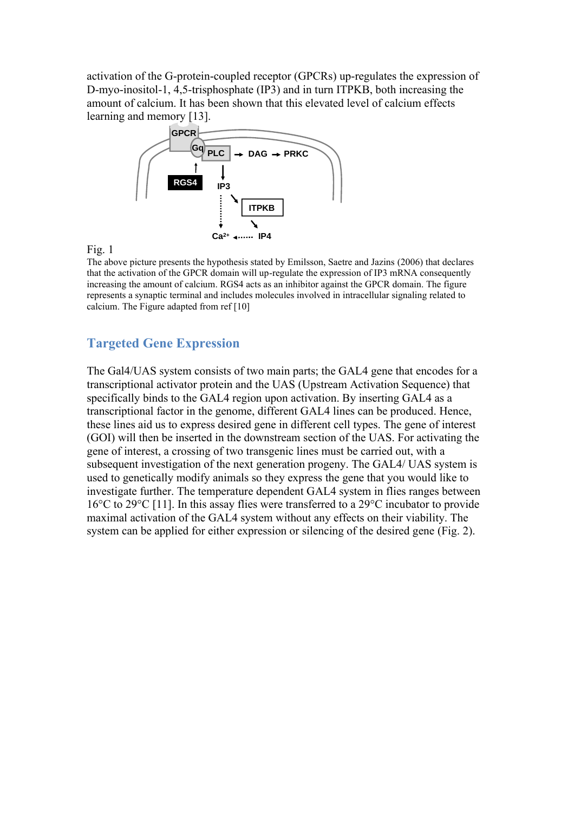activation of the G-protein-coupled receptor (GPCRs) up-regulates the expression of D-myo-inositol-1, 4,5-trisphosphate (IP3) and in turn ITPKB, both increasing the amount of calcium. It has been shown that this elevated level of calcium effects learning and memory [13].



#### Fig. 1

The above picture presents the hypothesis stated by Emilsson, Saetre and Jazins (2006) that declares that the activation of the GPCR domain will up-regulate the expression of IP3 mRNA consequently increasing the amount of calcium. RGS4 acts as an inhibitor against the GPCR domain. The figure represents a synaptic terminal and includes molecules involved in intracellular signaling related to calcium. The Figure adapted from ref [10]

# **Targeted Gene Expression**

The Gal4/UAS system consists of two main parts; the GAL4 gene that encodes for a transcriptional activator protein and the UAS (Upstream Activation Sequence) that specifically binds to the GAL4 region upon activation. By inserting GAL4 as a transcriptional factor in the genome, different GAL4 lines can be produced. Hence, these lines aid us to express desired gene in different cell types. The gene of interest (GOI) will then be inserted in the downstream section of the UAS. For activating the gene of interest, a crossing of two transgenic lines must be carried out, with a subsequent investigation of the next generation progeny. The GAL4/ UAS system is used to genetically modify animals so they express the gene that you would like to investigate further. The temperature dependent GAL4 system in flies ranges between 16°C to 29°C [11]. In this assay flies were transferred to a 29°C incubator to provide maximal activation of the GAL4 system without any effects on their viability. The system can be applied for either expression or silencing of the desired gene (Fig. 2).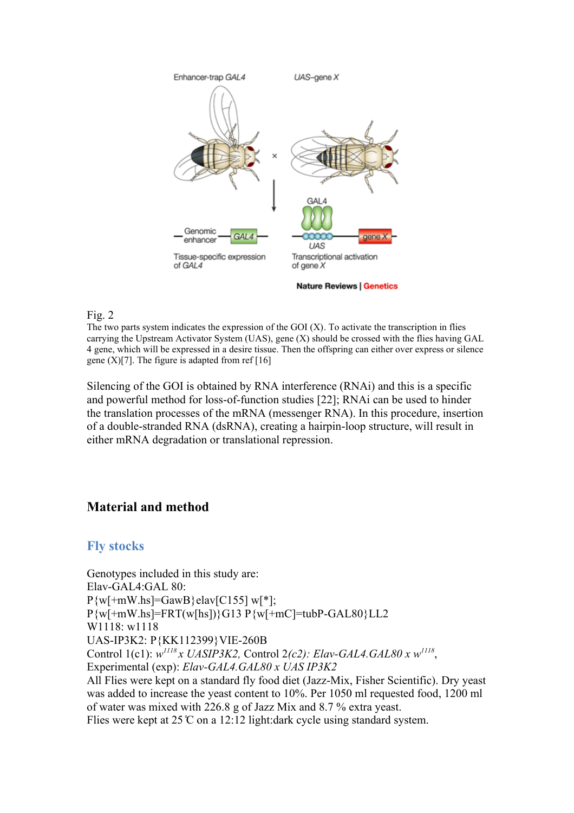

#### **Nature Reviews | Genetics**

### Fig. 2

The two parts system indicates the expression of the GOI (X). To activate the transcription in flies carrying the Upstream Activator System (UAS), gene (X) should be crossed with the flies having GAL 4 gene, which will be expressed in a desire tissue. Then the offspring can either over express or silence gene  $(X)[7]$ . The figure is adapted from ref [16]

Silencing of the GOI is obtained by RNA interference (RNAi) and this is a specific and powerful method for loss-of-function studies [22]; RNAi can be used to hinder the translation processes of the mRNA (messenger RNA). In this procedure, insertion of a double-stranded RNA (dsRNA), creating a hairpin-loop structure, will result in either mRNA degradation or translational repression.

# **Material and method**

# **Fly stocks**

Genotypes included in this study are: Elav-GAL4:GAL 80:  $P\{w\}$  +mW.hs]=GawB}elav[C155] w[\*]; P{w[+mW.hs]=FRT(w[hs])}G13 P{w[+mC]=tubP-GAL80}LL2 W1118: w1118 UAS-IP3K2: P{KK112399}VIE-260B Control 1(c1): *w <sup>1118</sup>x UASIP3K2,* Control 2*(c2): Elav-GAL4.GAL80 x w<sup>1118</sup>* , Experimental (exp): *Elav-GAL4.GAL80 x UAS IP3K2* All Flies were kept on a standard fly food diet (Jazz-Mix, Fisher Scientific). Dry yeast was added to increase the yeast content to 10%. Per 1050 ml requested food, 1200 ml of water was mixed with 226.8 g of Jazz Mix and 8.7 % extra yeast. Flies were kept at  $25^\circ$ C on a 12:12 light:dark cycle using standard system.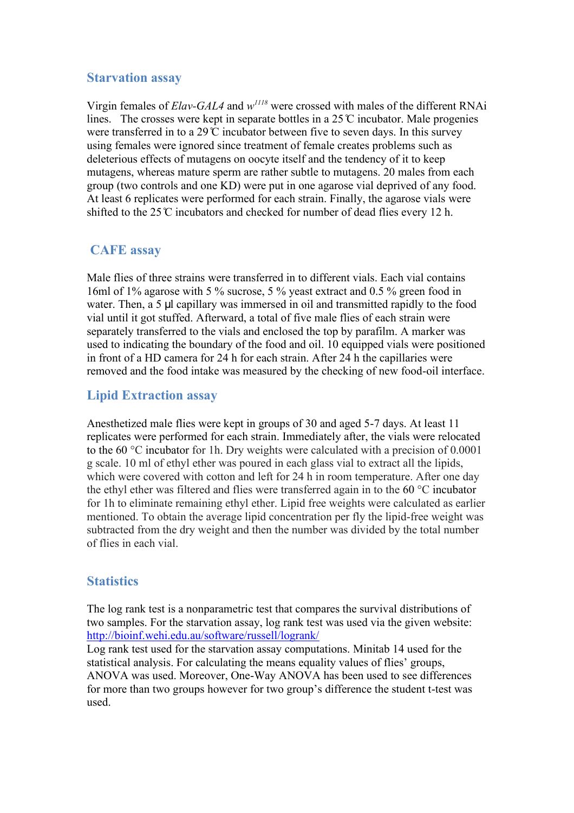# **Starvation assay**

Virgin females of *Elav-GAL4* and  $w^{1118}$  were crossed with males of the different RNAi lines. The crosses were kept in separate bottles in a  $25^{\circ}$  incubator. Male progenies were transferred in to a 29  $\degree$  incubator between five to seven days. In this survey using females were ignored since treatment of female creates problems such as deleterious effects of mutagens on oocyte itself and the tendency of it to keep mutagens, whereas mature sperm are rather subtle to mutagens. 20 males from each group (two controls and one KD) were put in one agarose vial deprived of any food. At least 6 replicates were performed for each strain. Finally, the agarose vials were shifted to the  $25^\circ$  incubators and checked for number of dead flies every 12 h.

# **CAFE assay**

Male flies of three strains were transferred in to different vials. Each vial contains 16ml of 1% agarose with 5 % sucrose, 5 % yeast extract and 0.5 % green food in water. Then, a 5 μl capillary was immersed in oil and transmitted rapidly to the food vial until it got stuffed. Afterward, a total of five male flies of each strain were separately transferred to the vials and enclosed the top by parafilm. A marker was used to indicating the boundary of the food and oil. 10 equipped vials were positioned in front of a HD camera for 24 h for each strain. After 24 h the capillaries were removed and the food intake was measured by the checking of new food-oil interface.

# **Lipid Extraction assay**

Anesthetized male flies were kept in groups of 30 and aged 5-7 days. At least 11 replicates were performed for each strain. Immediately after, the vials were relocated to the 60 °C incubator for 1h. Dry weights were calculated with a precision of 0.0001 g scale. 10 ml of ethyl ether was poured in each glass vial to extract all the lipids, which were covered with cotton and left for 24 h in room temperature. After one day the ethyl ether was filtered and flies were transferred again in to the 60 °C incubator for 1h to eliminate remaining ethyl ether. Lipid free weights were calculated as earlier mentioned. To obtain the average lipid concentration per fly the lipid-free weight was subtracted from the dry weight and then the number was divided by the total number of flies in each vial.

# **Statistics**

The log rank test is a nonparametric test that compares the survival distributions of two samples. For the starvation assay, log rank test was used via the given website: <http://bioinf.wehi.edu.au/software/russell/logrank/>

Log rank test used for the starvation assay computations. Minitab 14 used for the statistical analysis. For calculating the means equality values of flies' groups, ANOVA was used. Moreover, One-Way ANOVA has been used to see differences for more than two groups however for two group's difference the student t-test was used.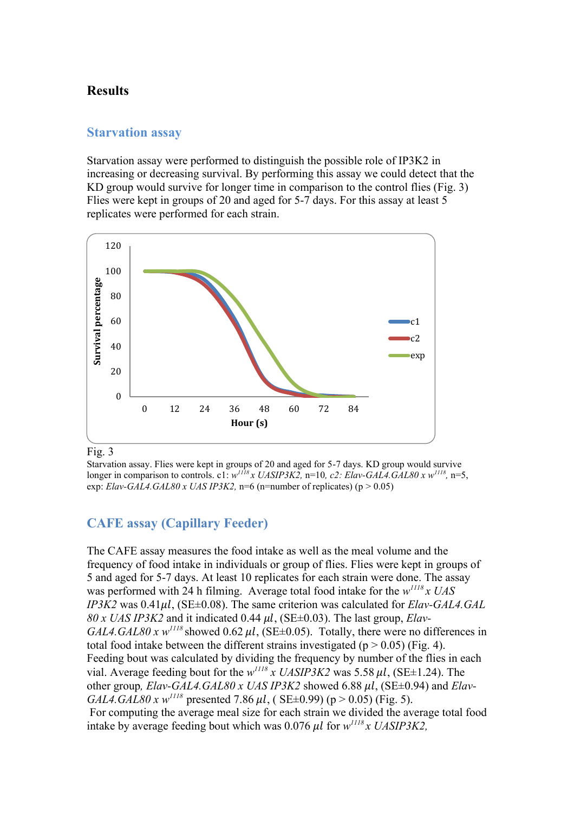# **Results**

### **Starvation assay**

Starvation assay were performed to distinguish the possible role of IP3K2 in increasing or decreasing survival. By performing this assay we could detect that the KD group would survive for longer time in comparison to the control flies (Fig. 3) Flies were kept in groups of 20 and aged for 5-7 days. For this assay at least 5 replicates were performed for each strain.



#### Fig. 3

Starvation assay. Flies were kept in groups of 20 and aged for 5-7 days. KD group would survive longer in comparison to controls. c1:  $w^{II18}x$  UASIP3K2, n=10, c2: Elav-GAL4.GAL80 x  $w^{II18}$ , n=5, exp: *Elav-GAL4.GAL80 x UAS IP3K2*, n=6 (n=number of replicates) (p  $> 0.05$ )

# **CAFE assay (Capillary Feeder)**

The CAFE assay measures the food intake as well as the meal volume and the frequency of food intake in individuals or group of flies. Flies were kept in groups of 5 and aged for 5-7 days. At least 10 replicates for each strain were done. The assay was performed with 24 h filming. Average total food intake for the *w <sup>1118</sup>x UAS IP3K2* was  $0.41 \mu l$ , (SE $\pm 0.08$ ). The same criterion was calculated for *Elav-GAL4.GAL*  $80 x$  *UAS IP3K2* and it indicated 0.44  $\mu$ *l*, (SE $\pm$ 0.03). The last group, *Elav*- $GAL4. GAL80 x w^{1118}$  showed 0.62  $\mu$ , (SE $\pm$ 0.05). Totally, there were no differences in total food intake between the different strains investigated ( $p > 0.05$ ) (Fig. 4). Feeding bout was calculated by dividing the frequency by number of the flies in each vial. Average feeding bout for the  $w^{II18}$  *x UASIP3K2* was 5.58  $\mu$ *l*, (SE $\pm$ 1.24). The other group,  $Elav-GAL4.GAL80 x UAS IP3K2 showed 6.88 \mu l$ , (SE $\pm$ 0.94) and  $Elav-$ *GAL4.GAL80 x w<sup>1118</sup>* presented 7.86  $\mu$ *l*, (SE±0.99) (p > 0.05) (Fig. 5). For computing the average meal size for each strain we divided the average total food intake by average feeding bout which was  $0.076 \mu l$  for  $w^{1118}x$  UASIP3K2,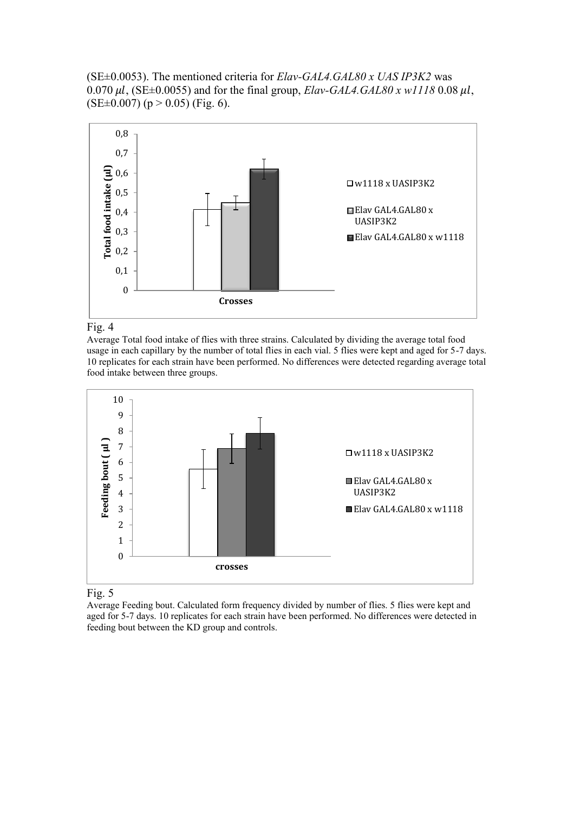(SE±0.0053). The mentioned criteria for *Elav-GAL4.GAL80 x UAS IP3K2* was 0.070  $\mu$ l, (SE $\pm$ 0.0055) and for the final group, *Elav-GAL4.GAL80 x w1118* 0.08  $\mu$ l,  $(SE\pm0.007)$  (p > 0.05) (Fig. 6).





Average Total food intake of flies with three strains. Calculated by dividing the average total food usage in each capillary by the number of total flies in each vial. 5 flies were kept and aged for 5-7 days. 10 replicates for each strain have been performed. No differences were detected regarding average total food intake between three groups.



Fig. 5

Average Feeding bout. Calculated form frequency divided by number of flies. 5 flies were kept and aged for 5-7 days. 10 replicates for each strain have been performed. No differences were detected in feeding bout between the KD group and controls.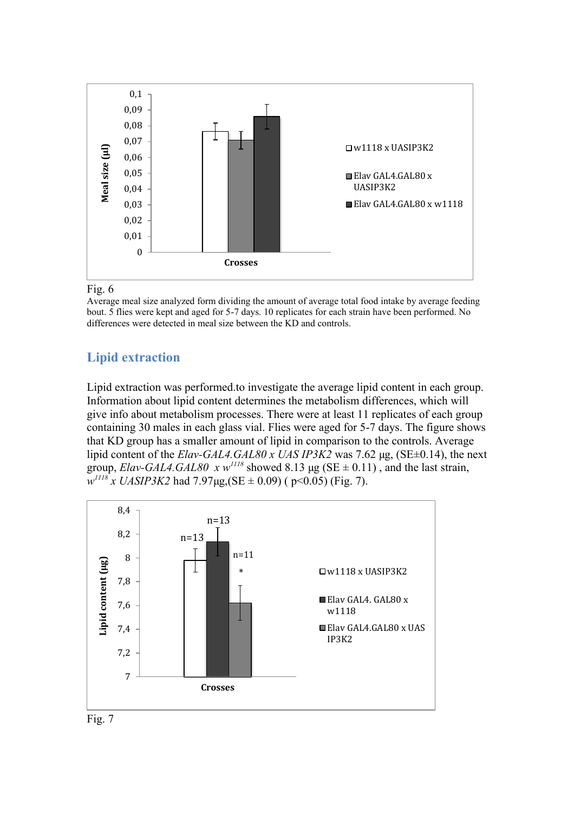

### Fig. 6

Average meal size analyzed form dividing the amount of average total food intake by average feeding bout. 5 flies were kept and aged for 5-7 days. 10 replicates for each strain have been performed. No differences were detected in meal size between the KD and controls.

# **Lipid extraction**

Lipid extraction was performed.to investigate the average lipid content in each group. Information about lipid content determines the metabolism differences, which will give info about metabolism processes. There were at least 11 replicates of each group containing 30 males in each glass vial. Flies were aged for 5-7 days. The figure shows that KD group has a smaller amount of lipid in comparison to the controls. Average lipid content of the *Elav-GAL4.GAL80 x UAS IP3K2* was 7.62 µg, (SE±0.14), the next group, *Elav-GAL4.GAL80* x  $w^{1118}$  showed 8.13 µg (SE  $\pm$  0.11), and the last strain, *w <sup>1118</sup> x UASIP3K2* had 7.97µg,(SE ± 0.09) ( p<0.05) (Fig. 7).



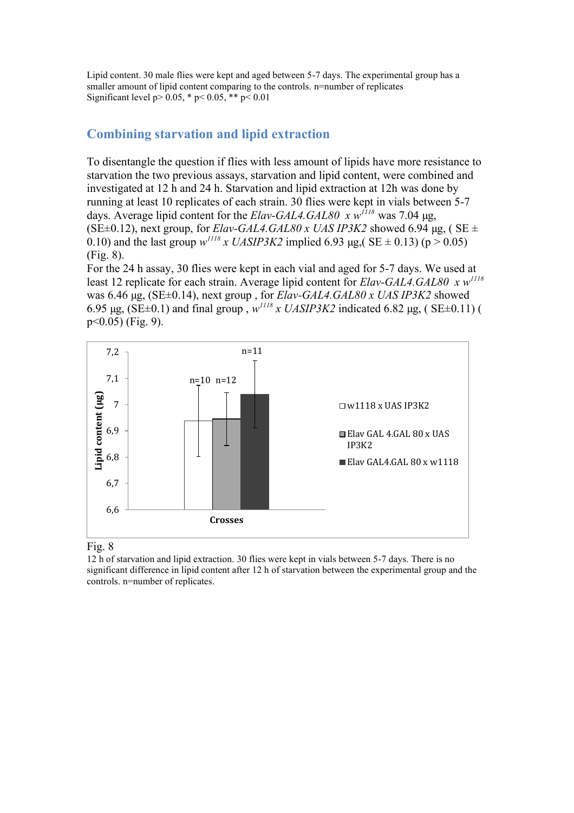Lipid content. 30 male flies were kept and aged between 5-7 days. The experimental group has a smaller amount of lipid content comparing to the controls. n=number of replicates Significant level  $p > 0.05$ , \*  $p < 0.05$ , \*\*  $p < 0.01$ 

# **Combining starvation and lipid extraction**

To disentangle the question if flies with less amount of lipids have more resistance to starvation the two previous assays, starvation and lipid content, were combined and investigated at 12 h and 24 h. Starvation and lipid extraction at 12h was done by running at least 10 replicates of each strain. 30 flies were kept in vials between 5-7 days. Average lipid content for the *Elav-GAL4.GAL80 x w<sup>1118</sup>* was 7.04 µg, (SE $\pm$ 0.12), next group, for *Elav-GAL4.GAL80 x UAS IP3K2* showed 6.94 µg, (SE  $\pm$ 0.10) and the last group  $w^{118}$  *x UASIP3K2* implied 6.93 µg, (SE  $\pm$  0.13) (p > 0.05) (Fig. 8).

For the 24 h assay, 30 flies were kept in each vial and aged for 5-7 days. We used at least 12 replicate for each strain. Average lipid content for *Elav-GAL4.GAL80 x w<sup>1118</sup>* was 6.46 µg, (SE±0.14), next group , for *Elav-GAL4.GAL80 x UAS IP3K2* showed 6.95 µg, (SE $\pm$ 0.1) and final group,  $w^{1118}$  *x UASIP3K2* indicated 6.82 µg, (SE $\pm$ 0.11) ( p<0.05) (Fig. 9).





12 h of starvation and lipid extraction. 30 flies were kept in vials between 5-7 days. There is no significant difference in lipid content after 12 h of starvation between the experimental group and the controls. n=number of replicates.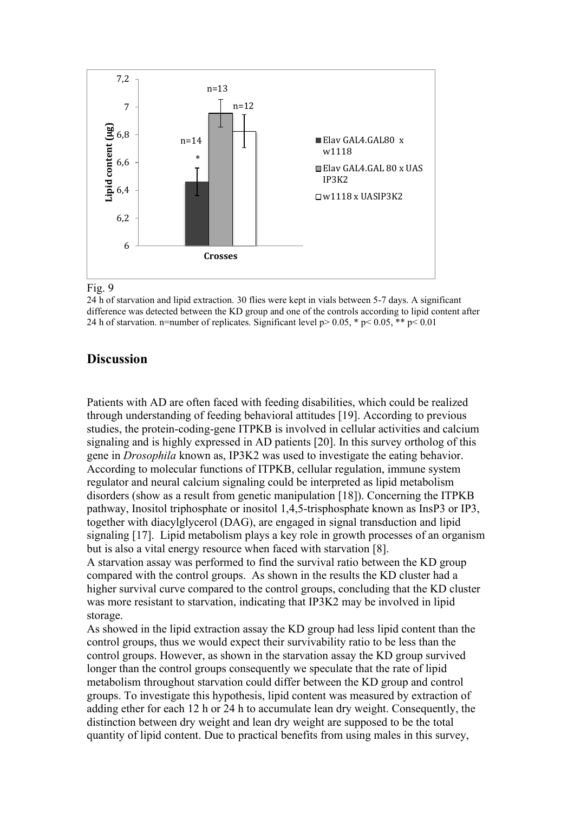

#### Fig. 9

24 h of starvation and lipid extraction. 30 flies were kept in vials between 5-7 days. A significant difference was detected between the KD group and one of the controls according to lipid content after 24 h of starvation. n=number of replicates. Significant level  $p > 0.05$ , \*  $p < 0.05$ , \*\*  $p < 0.01$ 

# **Discussion**

Patients with AD are often faced with feeding disabilities, which could be realized through understanding of feeding behavioral attitudes [19]. According to previous studies, the protein-coding-gene ITPKB is involved in cellular activities and calcium signaling and is highly expressed in AD patients [20]. In this survey ortholog of this gene in *Drosophila* known as, IP3K2 was used to investigate the eating behavior. According to molecular functions of ITPKB, cellular regulation, immune system regulator and neural calcium signaling could be interpreted as lipid metabolism disorders (show as a result from genetic manipulation [18]). Concerning the ITPKB pathway, Inositol triphosphate or inositol 1,4,5-trisphosphate known as InsP3 or IP3, together with [diacylglycerol](http://en.wikipedia.org/wiki/Diglyceride) (DAG), are engaged in [signal transduction](http://en.wikipedia.org/wiki/Signal_transduction) and [lipid](http://en.wikipedia.org/wiki/Lipid_signaling)  [signaling](http://en.wikipedia.org/wiki/Lipid_signaling) [17]. Lipid metabolism plays a key role in growth processes of an organism but is also a vital energy resource when faced with starvation [8].

A starvation assay was performed to find the survival ratio between the KD group compared with the control groups. As shown in the results the KD cluster had a higher survival curve compared to the control groups, concluding that the KD cluster was more resistant to starvation, indicating that IP3K2 may be involved in lipid storage.

As showed in the lipid extraction assay the KD group had less lipid content than the control groups, thus we would expect their survivability ratio to be less than the control groups. However, as shown in the starvation assay the KD group survived longer than the control groups consequently we speculate that the rate of lipid metabolism throughout starvation could differ between the KD group and control groups. To investigate this hypothesis, lipid content was measured by extraction of adding ether for each 12 h or 24 h to accumulate lean dry weight. Consequently, the distinction between dry weight and lean dry weight are supposed to be the total quantity of lipid content. Due to practical benefits from using males in this survey,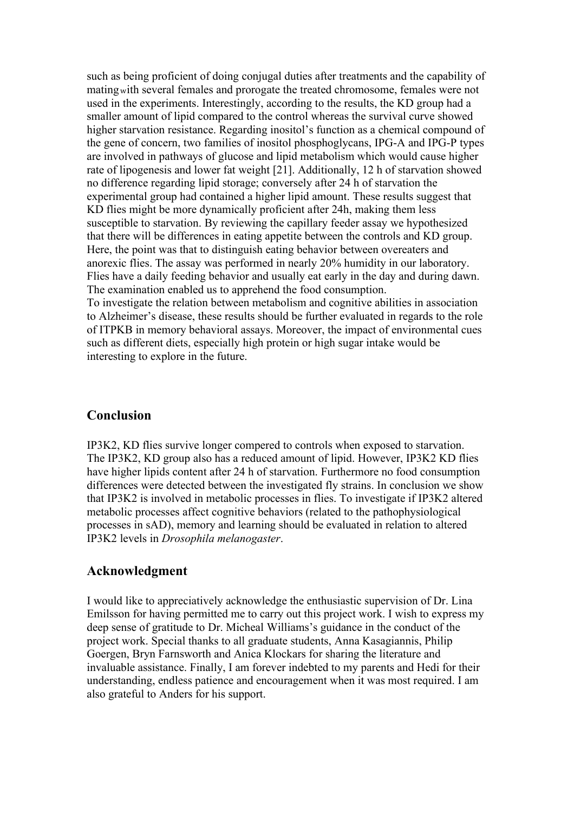such as being proficient of doing conjugal duties after treatments and the capability of mating <sup>w</sup>ith several females and prorogate the treated chromosome, females were not used in the experiments. Interestingly, according to the results, the KD group had a smaller amount of lipid compared to the control whereas the survival curve showed higher starvation resistance. Regarding inositol's function as a chemical compound of the gene of concern, two families of inositol phosphoglycans, IPG-A and IPG-P types are involved in pathways of glucose and lipid metabolism which would cause higher rate of lipogenesis and lower fat weight [21]. Additionally, 12 h of starvation showed no difference regarding lipid storage; conversely after 24 h of starvation the experimental group had contained a higher lipid amount. These results suggest that KD flies might be more dynamically proficient after 24h, making them less susceptible to starvation. By reviewing the capillary feeder assay we hypothesized that there will be differences in eating appetite between the controls and KD group. Here, the point was that to distinguish eating behavior between overeaters and anorexic flies. The assay was performed in nearly 20% humidity in our laboratory. Flies have a daily feeding behavior and usually eat early in the day and during dawn. The examination enabled us to apprehend the food consumption.

To investigate the relation between metabolism and cognitive abilities in association to Alzheimer's disease, these results should be further evaluated in regards to the role of ITPKB in memory behavioral assays. Moreover, the impact of environmental cues such as different diets, especially high protein or high sugar intake would be interesting to explore in the future.

## **Conclusion**

IP3K2, KD flies survive longer compered to controls when exposed to starvation. The IP3K2, KD group also has a reduced amount of lipid. However, IP3K2 KD flies have higher lipids content after 24 h of starvation. Furthermore no food consumption differences were detected between the investigated fly strains. In conclusion we show that IP3K2 is involved in metabolic processes in flies. To investigate if IP3K2 altered metabolic processes affect cognitive behaviors (related to the pathophysiological processes in sAD), memory and learning should be evaluated in relation to altered IP3K2 levels in *Drosophila melanogaster*.

## **Acknowledgment**

I would like to appreciatively acknowledge the enthusiastic supervision of Dr. Lina Emilsson for having permitted me to carry out this project work. I wish to express my deep sense of gratitude to Dr. Micheal Williams's guidance in the conduct of the project work. Special thanks to all graduate students, Anna Kasagiannis, Philip Goergen, Bryn Farnsworth and Anica Klockars for sharing the literature and invaluable assistance. Finally, I am forever indebted to my parents and Hedi for their understanding, endless patience and encouragement when it was most required. I am also grateful to Anders for his support.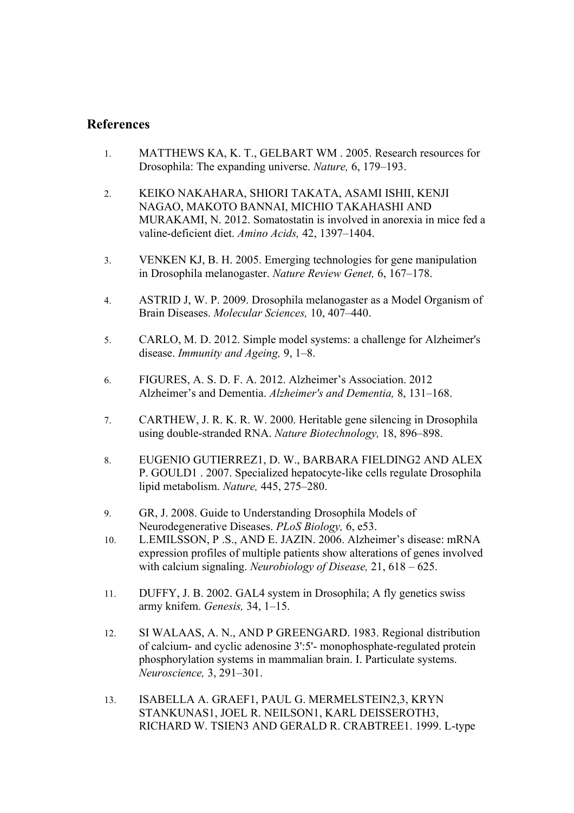# **References**

- 1. MATTHEWS KA, K. T., GELBART WM . 2005. Research resources for Drosophila: The expanding universe. *Nature,* 6, 179–193.
- 2. KEIKO NAKAHARA, SHIORI TAKATA, ASAMI ISHII, KENJI NAGAO, MAKOTO BANNAI, MICHIO TAKAHASHI AND MURAKAMI, N. 2012. Somatostatin is involved in anorexia in mice fed a valine-deficient diet. *Amino Acids,* 42, 1397–1404.
- 3. VENKEN KJ, B. H. 2005. Emerging technologies for gene manipulation in Drosophila melanogaster. *Nature Review Genet,* 6, 167–178.
- 4. ASTRID J, W. P. 2009. Drosophila melanogaster as a Model Organism of Brain Diseases. *Molecular Sciences,* 10, 407–440.
- 5. CARLO, M. D. 2012. Simple model systems: a challenge for Alzheimer's disease. *Immunity and Ageing,* 9, 1–8.
- 6. FIGURES, A. S. D. F. A. 2012. Alzheimer's Association. 2012 Alzheimer's and Dementia. *Alzheimer's and Dementia,* 8, 131–168.
- 7. CARTHEW, J. R. K. R. W. 2000. Heritable gene silencing in Drosophila using double-stranded RNA. *Nature Biotechnology,* 18, 896–898.
- 8. EUGENIO GUTIERREZ1, D. W., BARBARA FIELDING2 AND ALEX P. GOULD1 . 2007. Specialized hepatocyte-like cells regulate Drosophila lipid metabolism. *Nature,* 445, 275–280.
- 9. GR, J. 2008. Guide to Understanding Drosophila Models of Neurodegenerative Diseases. *PLoS Biology,* 6, e53.
- 10. L.EMILSSON, P.S., AND E. JAZIN. 2006. Alzheimer's disease: mRNA expression profiles of multiple patients show alterations of genes involved with calcium signaling. *Neurobiology of Disease,* 21, 618 – 625.
- 11. DUFFY, J. B. 2002. GAL4 system in Drosophila; A fly genetics swiss army knifem. *Genesis,* 34, 1–15.
- 12. SI WALAAS, A. N., AND P GREENGARD. 1983. Regional distribution of calcium- and cyclic adenosine 3':5'- monophosphate-regulated protein phosphorylation systems in mammalian brain. I. Particulate systems. *Neuroscience,* 3, 291–301.
- 13. ISABELLA A. GRAEF1, PAUL G. MERMELSTEIN2,3, KRYN STANKUNAS1, JOEL R. NEILSON1, KARL DEISSEROTH3, RICHARD W. TSIEN3 AND GERALD R. CRABTREE1. 1999. L-type